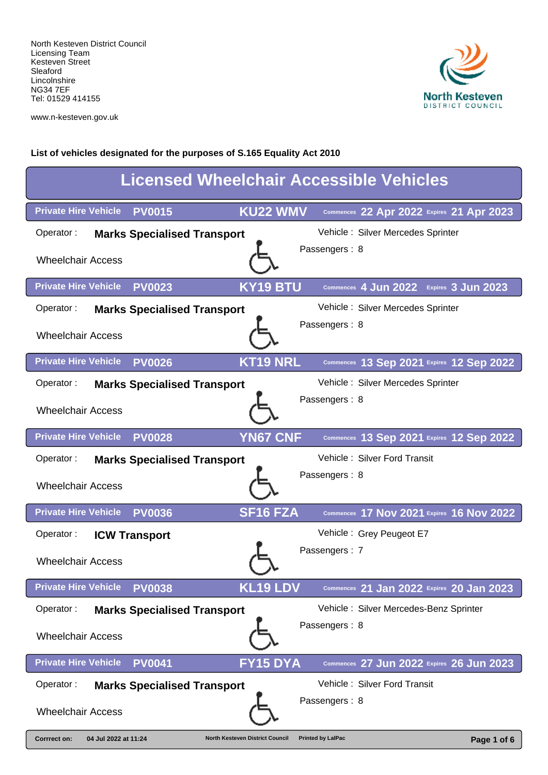

www.n-kesteven.gov.uk

| <b>Licensed Wheelchair Accessible Vehicles</b>                                                                            |  |  |  |
|---------------------------------------------------------------------------------------------------------------------------|--|--|--|
| <b>KU22 WMV</b><br><b>Private Hire Vehicle</b><br><b>PV0015</b><br>Commences 22 Apr 2022 Expires 21 Apr 2023              |  |  |  |
| Vehicle: Silver Mercedes Sprinter<br>Operator:<br><b>Marks Specialised Transport</b>                                      |  |  |  |
| Passengers: 8<br><b>Wheelchair Access</b>                                                                                 |  |  |  |
| <b>Private Hire Vehicle</b><br><b>KY19 BTU</b><br><b>PV0023</b><br>Commences 4 Jun 2022 Expires 3 Jun 2023                |  |  |  |
| Vehicle: Silver Mercedes Sprinter<br>Operator:<br><b>Marks Specialised Transport</b>                                      |  |  |  |
| Passengers: 8<br><b>Wheelchair Access</b>                                                                                 |  |  |  |
| <b>KT19 NRL</b><br><b>Private Hire Vehicle</b><br><b>PV0026</b><br>Commences 13 Sep 2021 Expires 12 Sep 2022              |  |  |  |
| Vehicle: Silver Mercedes Sprinter<br>Operator:<br><b>Marks Specialised Transport</b>                                      |  |  |  |
| Passengers: 8<br><b>Wheelchair Access</b>                                                                                 |  |  |  |
| <b>Private Hire Vehicle</b><br><b>YN67 CNF</b><br><b>PV0028</b><br>Commences 13 Sep 2021 Expires 12 Sep 2022              |  |  |  |
| Vehicle: Silver Ford Transit<br>Operator:<br><b>Marks Specialised Transport</b>                                           |  |  |  |
| Passengers: 8<br><b>Wheelchair Access</b>                                                                                 |  |  |  |
| <b>Private Hire Vehicle</b><br><b>SF16 FZA</b><br>Commences 17 Nov 2021 Expires 16 Nov 2022<br><b>PV0036</b>              |  |  |  |
| Vehicle: Grey Peugeot E7<br>Operator:<br><b>ICW Transport</b>                                                             |  |  |  |
| Passengers: 7<br><b>Wheelchair Access</b>                                                                                 |  |  |  |
| <b>KL19 LDV</b><br><b>Private Hire Vehicle</b><br><b>PV0038</b><br>Commences 21 Jan 2022 Expires 20 Jan 2023              |  |  |  |
| Vehicle: Silver Mercedes-Benz Sprinter<br>Operator:<br><b>Marks Specialised Transport</b>                                 |  |  |  |
| Passengers: 8<br><b>Wheelchair Access</b>                                                                                 |  |  |  |
| <b>Private Hire Vehicle</b><br><b>FY15 DYA</b><br><b>PV0041</b><br>Commences 27 Jun 2022 Expires 26 Jun 2023              |  |  |  |
| Vehicle: Silver Ford Transit<br>Operator:<br><b>Marks Specialised Transport</b>                                           |  |  |  |
| Passengers: 8<br><b>Wheelchair Access</b>                                                                                 |  |  |  |
| 04 Jul 2022 at 11:24<br><b>Printed by LalPac</b><br>Corrrect on:<br><b>North Kesteven District Council</b><br>Page 1 of 6 |  |  |  |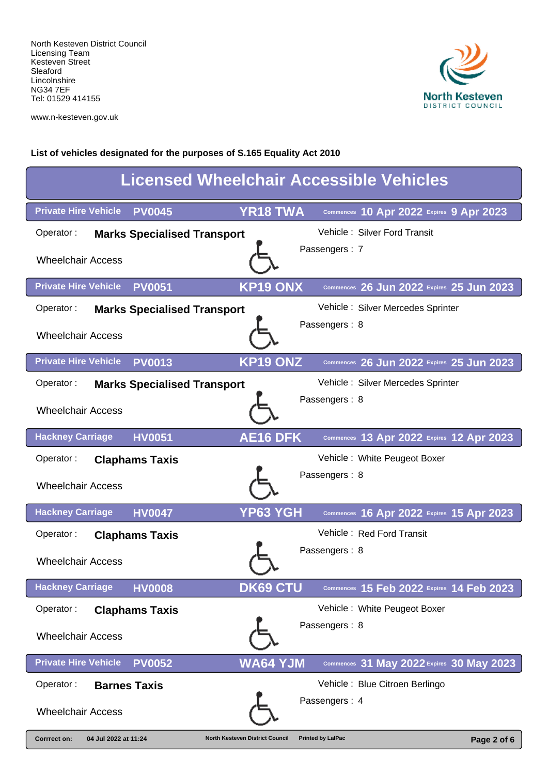

www.n-kesteven.gov.uk

| <b>Licensed Wheelchair Accessible Vehicles</b>  |                                        |                                           |  |  |
|-------------------------------------------------|----------------------------------------|-------------------------------------------|--|--|
| <b>Private Hire Vehicle</b><br><b>PV0045</b>    | <b>YR18 TWA</b>                        | Commences 10 Apr 2022 Expires 9 Apr 2023  |  |  |
| Operator:<br><b>Marks Specialised Transport</b> |                                        | Vehicle: Silver Ford Transit              |  |  |
| <b>Wheelchair Access</b>                        |                                        | Passengers: 7                             |  |  |
| <b>Private Hire Vehicle</b><br><b>PV0051</b>    | <b>KP19 ONX</b>                        | Commences 26 Jun 2022 Expires 25 Jun 2023 |  |  |
| Operator:<br><b>Marks Specialised Transport</b> |                                        | Vehicle: Silver Mercedes Sprinter         |  |  |
| <b>Wheelchair Access</b>                        |                                        | Passengers: 8                             |  |  |
| <b>Private Hire Vehicle</b><br><b>PV0013</b>    | <b>KP19 ONZ</b>                        | Commences 26 Jun 2022 Expires 25 Jun 2023 |  |  |
| Operator:<br><b>Marks Specialised Transport</b> |                                        | Vehicle: Silver Mercedes Sprinter         |  |  |
| <b>Wheelchair Access</b>                        |                                        | Passengers: 8                             |  |  |
| <b>Hackney Carriage</b><br><b>HV0051</b>        | <b>AE16 DFK</b>                        | Commences 13 Apr 2022 Expires 12 Apr 2023 |  |  |
| Operator:<br><b>Claphams Taxis</b>              |                                        | Vehicle: White Peugeot Boxer              |  |  |
| <b>Wheelchair Access</b>                        |                                        | Passengers: 8                             |  |  |
| <b>Hackney Carriage</b><br><b>HV0047</b>        | YP63 YGH                               | Commences 16 Apr 2022 Expires 15 Apr 2023 |  |  |
| Operator:<br><b>Claphams Taxis</b>              |                                        | Vehicle: Red Ford Transit                 |  |  |
| <b>Wheelchair Access</b>                        |                                        | Passengers: 8                             |  |  |
| <b>Hackney Carriage</b><br><b>HV0008</b>        | <b>DK69 CTU</b>                        | Commences 15 Feb 2022 Expires 14 Feb 2023 |  |  |
| Operator:<br><b>Claphams Taxis</b>              |                                        | Vehicle: White Peugeot Boxer              |  |  |
| <b>Wheelchair Access</b>                        |                                        | Passengers: 8                             |  |  |
| <b>Private Hire Vehicle</b><br><b>PV0052</b>    | <b>WA64 YJM</b>                        | Commences 31 May 2022 Expires 30 May 2023 |  |  |
| Operator:<br><b>Barnes Taxis</b>                |                                        | Vehicle: Blue Citroen Berlingo            |  |  |
| <b>Wheelchair Access</b>                        |                                        | Passengers: 4                             |  |  |
| Corrrect on:<br>04 Jul 2022 at 11:24            | <b>North Kesteven District Council</b> | <b>Printed by LalPac</b><br>Page 2 of 6   |  |  |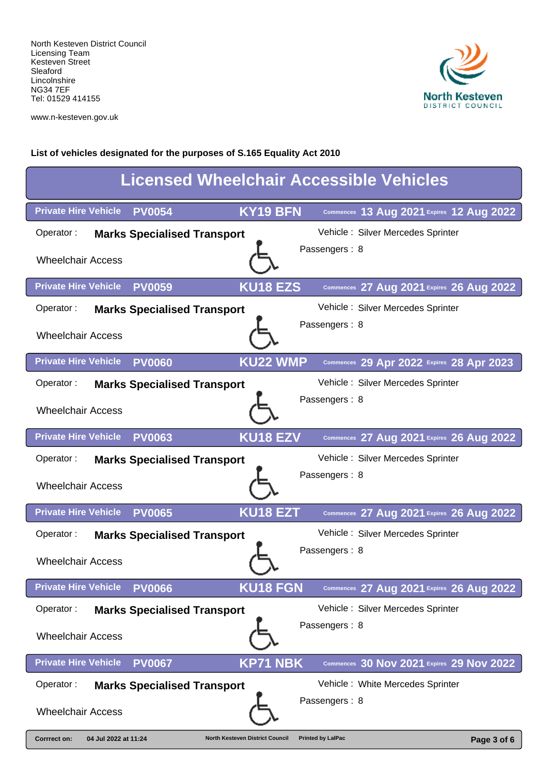

www.n-kesteven.gov.uk

| <b>Licensed Wheelchair Accessible Vehicles</b>                                        |                                           |  |  |  |
|---------------------------------------------------------------------------------------|-------------------------------------------|--|--|--|
| <b>KY19 BFN</b><br><b>Private Hire Vehicle</b><br><b>PV0054</b>                       | Commences 13 Aug 2021 Expires 12 Aug 2022 |  |  |  |
| Operator:<br><b>Marks Specialised Transport</b>                                       | Vehicle: Silver Mercedes Sprinter         |  |  |  |
| <b>Wheelchair Access</b>                                                              | Passengers: 8                             |  |  |  |
| <b>Private Hire Vehicle</b><br><b>KU18 EZS</b><br><b>PV0059</b>                       | Commences 27 Aug 2021 Expires 26 Aug 2022 |  |  |  |
| Operator:<br><b>Marks Specialised Transport</b>                                       | Vehicle: Silver Mercedes Sprinter         |  |  |  |
| <b>Wheelchair Access</b>                                                              | Passengers: 8                             |  |  |  |
| <b>KU22 WMP</b><br><b>Private Hire Vehicle</b><br><b>PV0060</b>                       | Commences 29 Apr 2022 Expires 28 Apr 2023 |  |  |  |
| Operator:<br><b>Marks Specialised Transport</b>                                       | Vehicle: Silver Mercedes Sprinter         |  |  |  |
| <b>Wheelchair Access</b>                                                              | Passengers: 8                             |  |  |  |
| <b>Private Hire Vehicle</b><br><b>KU18 EZV</b><br><b>PV0063</b>                       | Commences 27 Aug 2021 Expires 26 Aug 2022 |  |  |  |
| Operator:<br><b>Marks Specialised Transport</b>                                       | Vehicle: Silver Mercedes Sprinter         |  |  |  |
| <b>Wheelchair Access</b>                                                              | Passengers: 8                             |  |  |  |
| <b>Private Hire Vehicle</b><br>KU18 EZT<br><b>PV0065</b>                              | Commences 27 Aug 2021 Expires 26 Aug 2022 |  |  |  |
| Operator:<br><b>Marks Specialised Transport</b>                                       | Vehicle: Silver Mercedes Sprinter         |  |  |  |
| <b>Wheelchair Access</b>                                                              | Passengers: 8                             |  |  |  |
| <b>Private Hire Vehicle</b><br><b>KU18 FGN</b><br><b>PV0066</b>                       | Commences 27 Aug 2021 Expires 26 Aug 2022 |  |  |  |
| Operator:<br><b>Marks Specialised Transport</b>                                       | Vehicle: Silver Mercedes Sprinter         |  |  |  |
| <b>Wheelchair Access</b>                                                              | Passengers: 8                             |  |  |  |
| <b>Private Hire Vehicle</b><br><b>KP71 NBK</b><br><b>PV0067</b>                       | Commences 30 Nov 2021 Expires 29 Nov 2022 |  |  |  |
| Operator:<br><b>Marks Specialised Transport</b>                                       | Vehicle: White Mercedes Sprinter          |  |  |  |
| <b>Wheelchair Access</b>                                                              | Passengers: 8                             |  |  |  |
| 04 Jul 2022 at 11:24<br><b>Corrrect on:</b><br><b>North Kesteven District Council</b> | <b>Printed by LalPac</b><br>Page 3 of 6   |  |  |  |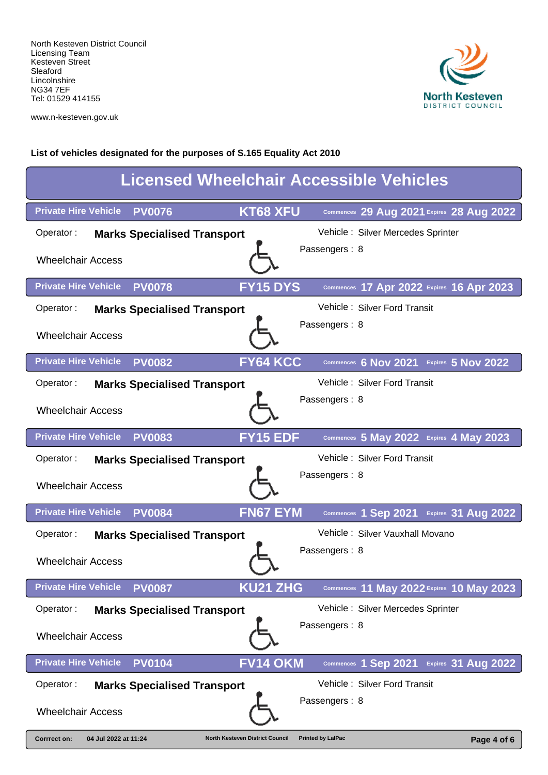

www.n-kesteven.gov.uk

| <b>Licensed Wheelchair Accessible Vehicles</b>                                        |                                                    |  |  |  |
|---------------------------------------------------------------------------------------|----------------------------------------------------|--|--|--|
| KT68 XFU<br><b>Private Hire Vehicle</b><br><b>PV0076</b>                              | Commences 29 Aug 2021 Expires 28 Aug 2022          |  |  |  |
| Operator:<br><b>Marks Specialised Transport</b>                                       | Vehicle: Silver Mercedes Sprinter                  |  |  |  |
| <b>Wheelchair Access</b>                                                              | Passengers: 8                                      |  |  |  |
| <b>Private Hire Vehicle</b><br><b>FY15 DYS</b><br><b>PV0078</b>                       | Commences 17 Apr 2022 Expires 16 Apr 2023          |  |  |  |
| Operator:<br><b>Marks Specialised Transport</b>                                       | Vehicle: Silver Ford Transit                       |  |  |  |
| <b>Wheelchair Access</b>                                                              | Passengers: 8                                      |  |  |  |
| FY64 KCC<br><b>Private Hire Vehicle</b><br><b>PV0082</b>                              | Commences 6 Nov 2021 Expires 5 Nov 2022            |  |  |  |
| Operator:<br><b>Marks Specialised Transport</b>                                       | Vehicle: Silver Ford Transit                       |  |  |  |
| <b>Wheelchair Access</b>                                                              | Passengers: 8                                      |  |  |  |
| <b>Private Hire Vehicle</b><br><b>FY15 EDF</b><br><b>PV0083</b>                       | Commences 5 May 2022 Expires 4 May 2023            |  |  |  |
| Operator:<br><b>Marks Specialised Transport</b>                                       | Vehicle: Silver Ford Transit                       |  |  |  |
| <b>Wheelchair Access</b>                                                              | Passengers: 8                                      |  |  |  |
| <b>Private Hire Vehicle</b><br><b>FN67 EYM</b><br><b>PV0084</b>                       | <b>Expires 31 Aug 2022</b><br>Commences 1 Sep 2021 |  |  |  |
| Operator:<br><b>Marks Specialised Transport</b>                                       | Vehicle: Silver Vauxhall Movano                    |  |  |  |
| <b>Wheelchair Access</b>                                                              | Passengers: 8                                      |  |  |  |
| KU21 ZHG<br><b>Private Hire Vehicle</b><br><b>PV0087</b>                              | Commences 11 May 2022 Expires 10 May 2023          |  |  |  |
| Operator:<br><b>Marks Specialised Transport</b>                                       | Vehicle: Silver Mercedes Sprinter                  |  |  |  |
| <b>Wheelchair Access</b>                                                              | Passengers: 8                                      |  |  |  |
| <b>Private Hire Vehicle</b><br><b>FV14 OKM</b><br><b>PV0104</b>                       | Expires 31 Aug 2022<br>Commences 1 Sep 2021        |  |  |  |
| Operator:<br><b>Marks Specialised Transport</b>                                       | Vehicle: Silver Ford Transit                       |  |  |  |
| <b>Wheelchair Access</b>                                                              | Passengers: 8                                      |  |  |  |
| 04 Jul 2022 at 11:24<br><b>Corrrect on:</b><br><b>North Kesteven District Council</b> | <b>Printed by LalPac</b><br>Page 4 of 6            |  |  |  |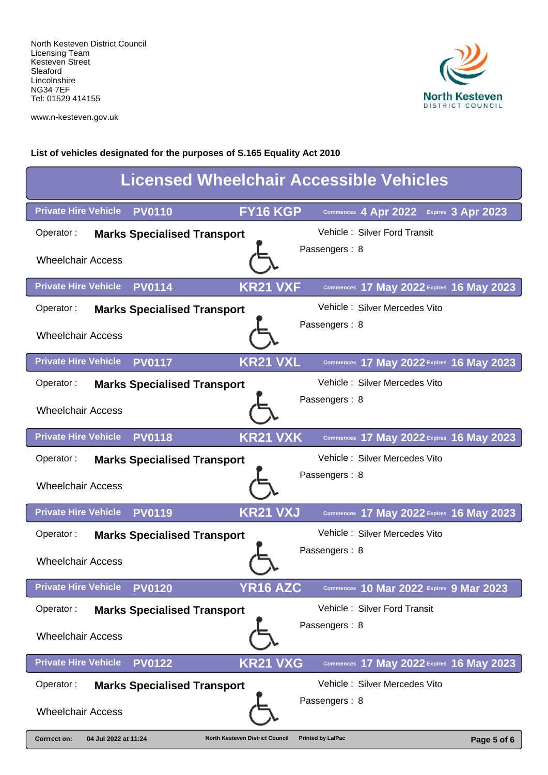

www.n-kesteven.gov.uk

| <b>Licensed Wheelchair Accessible Vehicles</b>                                 |                                            |  |  |
|--------------------------------------------------------------------------------|--------------------------------------------|--|--|
| FY16 KGP<br><b>Private Hire Vehicle</b><br><b>PV0110</b>                       | Commences 4 Apr 2022<br>Expires 3 Apr 2023 |  |  |
| Operator:<br><b>Marks Specialised Transport</b>                                | Vehicle: Silver Ford Transit               |  |  |
| <b>Wheelchair Access</b>                                                       | Passengers: 8                              |  |  |
| <b>Private Hire Vehicle</b><br><b>KR21 VXF</b><br><b>PV0114</b>                | Commences 17 May 2022 Expires 16 May 2023  |  |  |
| Operator:<br><b>Marks Specialised Transport</b>                                | Vehicle: Silver Mercedes Vito              |  |  |
| <b>Wheelchair Access</b>                                                       | Passengers: 8                              |  |  |
| <b>KR21 VXL</b><br><b>Private Hire Vehicle</b><br><b>PV0117</b>                | Commences 17 May 2022 Expires 16 May 2023  |  |  |
| Operator:<br><b>Marks Specialised Transport</b>                                | Vehicle: Silver Mercedes Vito              |  |  |
| <b>Wheelchair Access</b>                                                       | Passengers: 8                              |  |  |
| <b>KR21 VXK</b><br><b>Private Hire Vehicle</b><br><b>PV0118</b>                | Commences 17 May 2022 Expires 16 May 2023  |  |  |
| Operator:<br><b>Marks Specialised Transport</b>                                | Vehicle: Silver Mercedes Vito              |  |  |
| <b>Wheelchair Access</b>                                                       | Passengers: 8                              |  |  |
| <b>Private Hire Vehicle</b><br><b>KR21 VXJ</b><br><b>PV0119</b>                | Commences 17 May 2022 Expires 16 May 2023  |  |  |
| Operator:<br><b>Marks Specialised Transport</b>                                | Vehicle: Silver Mercedes Vito              |  |  |
| <b>Wheelchair Access</b>                                                       | Passengers: 8                              |  |  |
| <b>YR16 AZC</b><br><b>Private Hire Vehicle</b><br><b>PV0120</b>                | Commences 10 Mar 2022 Expires 9 Mar 2023   |  |  |
| Operator:<br><b>Marks Specialised Transport</b>                                | Vehicle: Silver Ford Transit               |  |  |
| <b>Wheelchair Access</b>                                                       | Passengers: 8                              |  |  |
| <b>Private Hire Vehicle</b><br><b>KR21 VXG</b><br><b>PV0122</b>                | Commences 17 May 2022 Expires 16 May 2023  |  |  |
| Operator:<br><b>Marks Specialised Transport</b>                                | Vehicle: Silver Mercedes Vito              |  |  |
| <b>Wheelchair Access</b>                                                       | Passengers: 8                              |  |  |
| 04 Jul 2022 at 11:24<br>Corrrect on:<br><b>North Kesteven District Council</b> | <b>Printed by LalPac</b><br>Page 5 of 6    |  |  |